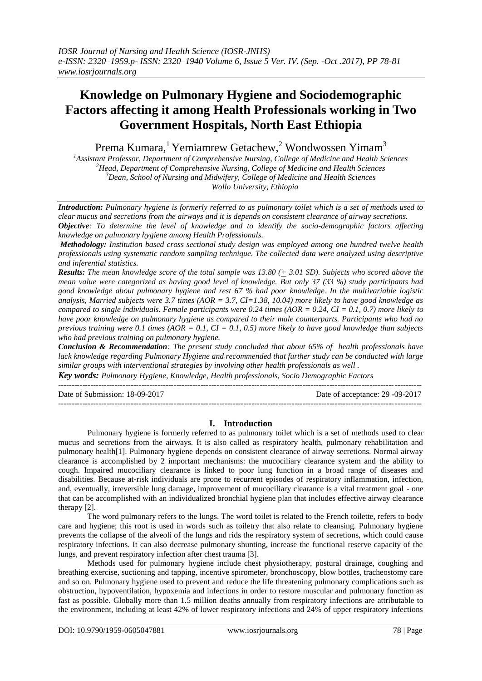# **Knowledge on Pulmonary Hygiene and Sociodemographic Factors affecting it among Health Professionals working in Two Government Hospitals, North East Ethiopia**

Prema Kumara,<sup>1</sup> Yemiamrew Getachew,<sup>2</sup> Wondwossen Yimam<sup>3</sup>

*Assistant Professor, Department of Comprehensive Nursing, College of Medicine and Health Sciences Head, Department of Comprehensive Nursing, College of Medicine and Health Sciences Dean, School of Nursing and Midwifery, College of Medicine and Health Sciences Wollo University, Ethiopia*

*Introduction: Pulmonary hygiene is formerly referred to as pulmonary toilet which is a set of methods used to clear mucus and secretions from the airways and it is depends on consistent clearance of airway secretions. Objective: To determine the level of knowledge and to identify the socio-demographic factors affecting knowledge on pulmonary hygiene among Health Professionals.*

*Methodology: Institution based cross sectional study design was employed among one hundred twelve health professionals using systematic random sampling technique. The collected data were analyzed using descriptive and inferential statistics.*

*Results: The mean knowledge score of the total sample was 13.80 (+ 3.01 SD). Subjects who scored above the mean value were categorized as having good level of knowledge. But only 37 (33 %) study participants had good knowledge about pulmonary hygiene and rest 67 % had poor knowledge. In the multivariable logistic analysis, Married subjects were 3.7 times (AOR = 3.7, CI=1.38, 10.04) more likely to have good knowledge as compared to single individuals. Female participants were 0.24 times (AOR = 0.24, CI = 0.1, 0.7) more likely to have poor knowledge on pulmonary hygiene as compared to their male counterparts. Participants who had no previous training were 0.1 times (AOR = 0.1, CI = 0.1, 0.5) more likely to have good knowledge than subjects who had previous training on pulmonary hygiene.*

*Conclusion & Recommendation: The present study concluded that about 65% of health professionals have lack knowledge regarding Pulmonary Hygiene and recommended that further study can be conducted with large similar groups with interventional strategies by involving other health professionals as well .* 

*Key words: Pulmonary Hygiene, Knowledge, Health professionals, Socio Demographic Factors* 

--------------------------------------------------------------------------------------------------------------------------------------- Date of Submission: 18-09-2017 Date of acceptance: 29 -09-2017 ---------------------------------------------------------------------------------------------------------------------------------------

# **I. Introduction**

Pulmonary hygiene is formerly referred to as pulmonary toilet which is a set of methods used to clear mucus and secretions from the airways. It is also called as respiratory health, pulmonary rehabilitation and pulmonary health[1]. Pulmonary hygiene depends on consistent clearance of airway secretions. Normal airway clearance is accomplished by 2 important mechanisms: the mucociliary clearance system and the ability to cough. Impaired mucociliary clearance is linked to poor lung function in a broad range of diseases and disabilities. Because at-risk individuals are prone to recurrent episodes of respiratory inflammation, infection, and, eventually, irreversible lung damage, improvement of mucociliary clearance is a vital treatment goal - one that can be accomplished with an individualized bronchial hygiene plan that includes effective airway clearance therapy [2].

The word pulmonary refers to the lungs. The word toilet is related to the French toilette, refers to body care and hygiene; this root is used in words such as toiletry that also relate to cleansing. Pulmonary hygiene prevents the collapse of the alveoli of the lungs and rids the respiratory system of secretions, which could cause respiratory infections. It can also decrease pulmonary shunting, increase the functional reserve capacity of the lungs, and prevent respiratory infection after chest trauma [3].

Methods used for pulmonary hygiene include chest physiotherapy, postural drainage, coughing and breathing exercise, suctioning and tapping, incentive spirometer, bronchoscopy, blow bottles, tracheostomy care and so on. Pulmonary hygiene used to prevent and reduce the life threatening pulmonary complications such as obstruction, hypoventilation, hypoxemia and infections in order to restore muscular and pulmonary function as fast as possible. Globally more than 1.5 million deaths annually from respiratory infections are attributable to the environment, including at least 42% of lower respiratory infections and 24% of upper respiratory infections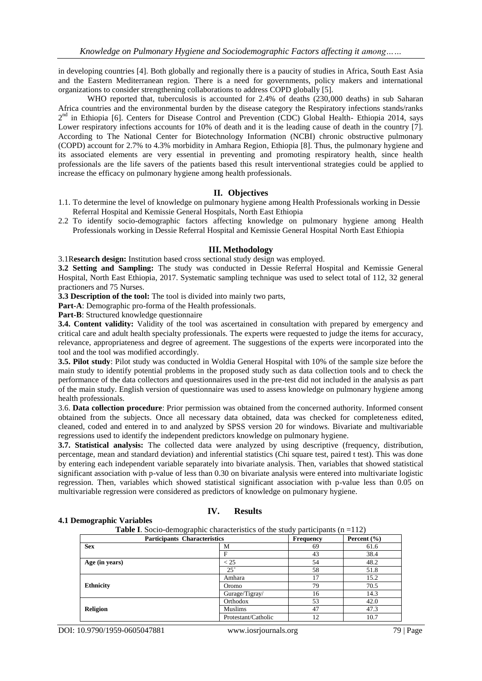in developing countries [4]. Both globally and regionally there is a paucity of studies in Africa, South East Asia and the Eastern Mediterranean region. There is a need for governments, policy makers and international organizations to consider strengthening collaborations to address COPD globally [5].

WHO reported that, tuberculosis is accounted for 2.4% of deaths (230,000 deaths) in sub Saharan Africa countries and the environmental burden by the disease category the Respiratory infections stands/ranks 2<sup>nd</sup> in Ethiopia [6]. Centers for Disease Control and Prevention (CDC) Global Health- Ethiopia 2014, says Lower respiratory infections accounts for 10% of death and it is the leading cause of death in the country [7]. According to The National Center for Biotechnology Information (NCBI) chronic obstructive pulmonary (COPD) account for 2.7% to 4.3% morbidity in Amhara Region, Ethiopia [8]. Thus, the pulmonary hygiene and its associated elements are very essential in preventing and promoting respiratory health, since health professionals are the life savers of the patients based this result interventional strategies could be applied to increase the efficacy on pulmonary hygiene among health professionals.

# **II. Objectives**

- 1.1. To determine the level of knowledge on pulmonary hygiene among Health Professionals working in Dessie Referral Hospital and Kemissie General Hospitals, North East Ethiopia
- 2.2 To identify socio-demographic factors affecting knowledge on pulmonary hygiene among Health Professionals working in Dessie Referral Hospital and Kemissie General Hospital North East Ethiopia

## **III. Methodology**

3.1R**esearch design:** Institution based cross sectional study design was employed.

**3.2 Setting and Sampling:** The study was conducted in Dessie Referral Hospital and Kemissie General Hospital, North East Ethiopia, 2017. Systematic sampling technique was used to select total of 112, 32 general practioners and 75 Nurses.

**3.3 Description of the tool:** The tool is divided into mainly two parts,

**Part-A**: Demographic pro-forma of the Health professionals.

**Part-B**: Structured knowledge questionnaire

**3.4. Content validity:** Validity of the tool was ascertained in consultation with prepared by emergency and critical care and adult health specialty professionals. The experts were requested to judge the items for accuracy, relevance, appropriateness and degree of agreement. The suggestions of the experts were incorporated into the tool and the tool was modified accordingly.

**3.5. Pilot study**: Pilot study was conducted in Woldia General Hospital with 10% of the sample size before the main study to identify potential problems in the proposed study such as data collection tools and to check the performance of the data collectors and questionnaires used in the pre-test did not included in the analysis as part of the main study. English version of questionnaire was used to assess knowledge on pulmonary hygiene among health professionals.

3.6. **Data collection procedure**: Prior permission was obtained from the concerned authority. Informed consent obtained from the subjects. Once all necessary data obtained, data was checked for completeness edited, cleaned, coded and entered in to and analyzed by SPSS version 20 for windows. Bivariate and multivariable regressions used to identify the independent predictors knowledge on pulmonary hygiene.

**3.7. Statistical analysis:** The collected data were analyzed by using descriptive (frequency, distribution, percentage, mean and standard deviation) and inferential statistics (Chi square test, paired t test). This was done by entering each independent variable separately into bivariate analysis. Then, variables that showed statistical significant association with p-value of less than 0.30 on bivariate analysis were entered into multivariate logistic regression. Then, variables which showed statistical significant association with p-value less than 0.05 on multivariable regression were considered as predictors of knowledge on pulmonary hygiene.

#### **4.1 Demographic Variables**

## **IV. Results**

**Table I**. Socio-demographic characteristics of the study participants  $(n = 112)$ 

| <b>Participants Characteristics</b> | Frequency           | Percent $(\% )$ |      |  |
|-------------------------------------|---------------------|-----------------|------|--|
| <b>Sex</b>                          | М                   | 69              | 61.6 |  |
|                                     | F                   | 43              | 38.4 |  |
| Age (in years)                      | < 25                | 54              | 48.2 |  |
|                                     | $25^+$              | 58              | 51.8 |  |
|                                     | Amhara              | 17              | 15.2 |  |
| <b>Ethnicity</b>                    | Oromo               | 79              | 70.5 |  |
|                                     | Gurage/Tigray/      | 16              | 14.3 |  |
|                                     | Orthodox            | 53              | 42.0 |  |
| <b>Religion</b>                     | <b>Muslims</b>      | 47              | 47.3 |  |
|                                     | Protestant/Catholic | 12              | 10.7 |  |

DOI: 10.9790/1959-0605047881 www.iosrjournals.org 79 | Page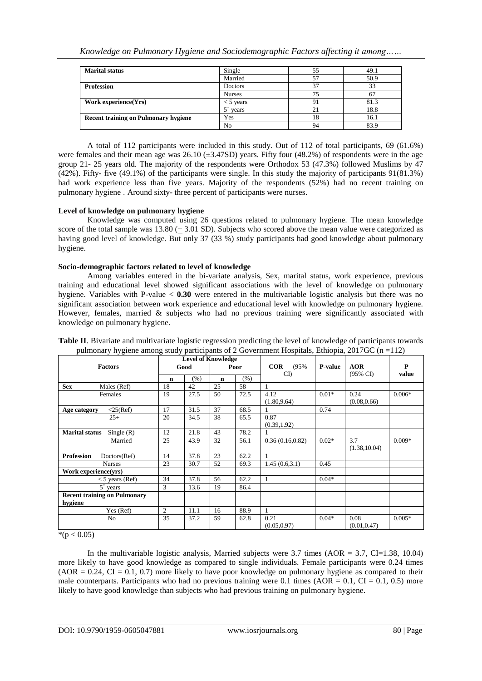| <b>Marital status</b>                       | Single        | 55 | 49.1 |  |
|---------------------------------------------|---------------|----|------|--|
|                                             | Married       | 57 | 50.9 |  |
| <b>Profession</b>                           | Doctors       | 37 | 33   |  |
|                                             | <b>Nurses</b> | 75 |      |  |
| Work experience(Yrs)                        | < 5 years     | 91 | 81.3 |  |
|                                             | vears         | 21 | 18.8 |  |
| <b>Recent training on Pulmonary hygiene</b> | Yes           | 18 | 16.1 |  |
|                                             | No            | 94 | 83.9 |  |

A total of 112 participants were included in this study. Out of 112 of total participants, 69 (61.6%) were females and their mean age was 26.10 (±3.47SD) years. Fifty four (48.2%) of respondents were in the age group 21- 25 years old. The majority of the respondents were Orthodox 53 (47.3%) followed Muslims by 47 (42%). Fifty- five (49.1%) of the participants were single. In this study the majority of participants 91(81.3%) had work experience less than five years. Majority of the respondents (52%) had no recent training on pulmonary hygiene . Around sixty- three percent of participants were nurses.

# **Level of knowledge on pulmonary hygiene**

Knowledge was computed using 26 questions related to pulmonary hygiene. The mean knowledge score of the total sample was 13.80 (+ 3.01 SD). Subjects who scored above the mean value were categorized as having good level of knowledge. But only 37 (33 %) study participants had good knowledge about pulmonary hygiene.

# **Socio-demographic factors related to level of knowledge**

Among variables entered in the bi-variate analysis, Sex, marital status, work experience, previous training and educational level showed significant associations with the level of knowledge on pulmonary hygiene. Variables with P-value  $\leq 0.30$  were entered in the multivariable logistic analysis but there was no significant association between work experience and educational level with knowledge on pulmonary hygiene. However, females, married  $\&$  subjects who had no previous training were significantly associated with knowledge on pulmonary hygiene.

|                                                | <b>Level of Knowledge</b> |      |             |      |                      |         |                      |          |
|------------------------------------------------|---------------------------|------|-------------|------|----------------------|---------|----------------------|----------|
| <b>Factors</b>                                 | Good                      |      | Poor        |      | COR<br>(95%          | P-value | <b>AOR</b>           | P        |
|                                                | $\mathbf n$               | (% ) | $\mathbf n$ | (% ) | CD                   |         | $(95\% \text{ CI})$  | value    |
| <b>Sex</b><br>Males (Ref)                      | 18                        | 42   | 25          | 58   |                      |         |                      |          |
| Females                                        | 19                        | 27.5 | 50          | 72.5 | 4.12<br>(1.80, 9.64) | $0.01*$ | 0.24<br>(0.08, 0.66) | $0.006*$ |
| $<$ 25(Ref)<br>Age category                    | 17                        | 31.5 | 37          | 68.5 |                      | 0.74    |                      |          |
| $25+$                                          | 20                        | 34.5 | 38          | 65.5 | 0.87<br>(0.39, 1.92) |         |                      |          |
| <b>Marital status</b><br>Single $(R)$          | 12                        | 21.8 | 43          | 78.2 |                      |         |                      |          |
| Married                                        | 25                        | 43.9 | 32          | 56.1 | 0.36(0.16, 0.82)     | $0.02*$ | 3.7<br>(1.38, 10.04) | $0.009*$ |
| <b>Profession</b><br>Doctors(Ref)              | 14                        | 37.8 | 23          | 62.2 |                      |         |                      |          |
| <b>Nurses</b>                                  | 23                        | 30.7 | 52          | 69.3 | 1.45(0.6, 3.1)       | 0.45    |                      |          |
| Work experience(vrs)                           |                           |      |             |      |                      |         |                      |          |
| $<$ 5 years (Ref)                              | 34                        | 37.8 | 56          | 62.2 |                      | $0.04*$ |                      |          |
| $5^{\circ}$ years                              | 3                         | 13.6 | 19          | 86.4 |                      |         |                      |          |
| <b>Recent training on Pulmonary</b><br>hygiene |                           |      |             |      |                      |         |                      |          |
| Yes (Ref)                                      | $\overline{c}$            | 11.1 | 16          | 88.9 |                      |         |                      |          |
| N <sub>o</sub>                                 | 35                        | 37.2 | 59          | 62.8 | 0.21<br>(0.05.0.97)  | $0.04*$ | 0.08<br>(0.01.0.47)  | $0.005*$ |

**Table II**. Bivariate and multivariate logistic regression predicting the level of knowledge of participants towards pulmonary hygiene among study participants of 2 Government Hospitals, Ethiopia, 2017GC ( $n = 112$ )

 $*(p < 0.05)$ 

In the multivariable logistic analysis, Married subjects were  $3.7$  times (AOR =  $3.7$ , CI=1.38, 10.04) more likely to have good knowledge as compared to single individuals. Female participants were 0.24 times  $(AOR = 0.24, CI = 0.1, 0.7)$  more likely to have poor knowledge on pulmonary hygiene as compared to their male counterparts. Participants who had no previous training were 0.1 times  $(AOR = 0.1, CI = 0.1, 0.5)$  more likely to have good knowledge than subjects who had previous training on pulmonary hygiene.